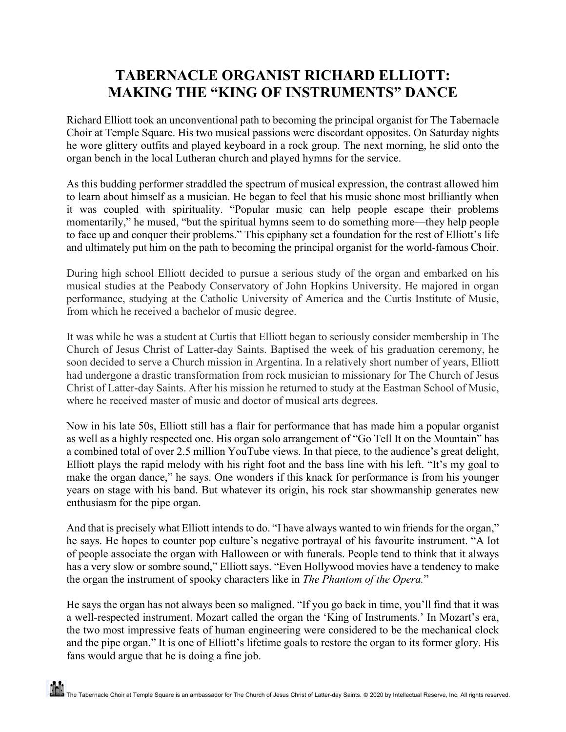## **TABERNACLE ORGANIST RICHARD ELLIOTT: MAKING THE "KING OF INSTRUMENTS" DANCE**

Richard Elliott took an unconventional path to becoming the principal organist for The Tabernacle Choir at Temple Square. His two musical passions were discordant opposites. On Saturday nights he wore glittery outfits and played keyboard in a rock group. The next morning, he slid onto the organ bench in the local Lutheran church and played hymns for the service.

As this budding performer straddled the spectrum of musical expression, the contrast allowed him to learn about himself as a musician. He began to feel that his music shone most brilliantly when it was coupled with spirituality. "Popular music can help people escape their problems momentarily," he mused, "but the spiritual hymns seem to do something more—they help people to face up and conquer their problems." This epiphany set a foundation for the rest of Elliott's life and ultimately put him on the path to becoming the principal organist for the world-famous Choir.

During high school Elliott decided to pursue a serious study of the organ and embarked on his musical studies at the Peabody Conservatory of John Hopkins University. He majored in organ performance, studying at the Catholic University of America and the Curtis Institute of Music, from which he received a bachelor of music degree.

It was while he was a student at Curtis that Elliott began to seriously consider membership in The Church of Jesus Christ of Latter-day Saints. Baptised the week of his graduation ceremony, he soon decided to serve a Church mission in Argentina. In a relatively short number of years, Elliott had undergone a drastic transformation from rock musician to missionary for The Church of Jesus Christ of Latter-day Saints. After his mission he returned to study at the Eastman School of Music, where he received master of music and doctor of musical arts degrees.

Now in his late 50s, Elliott still has a flair for performance that has made him a popular organist as well as a highly respected one. His organ solo arrangement of "Go Tell It on the Mountain" has a combined total of over 2.5 million YouTube views. In that piece, to the audience's great delight, Elliott plays the rapid melody with his right foot and the bass line with his left. "It's my goal to make the organ dance," he says. One wonders if this knack for performance is from his younger years on stage with his band. But whatever its origin, his rock star showmanship generates new enthusiasm for the pipe organ.

And that is precisely what Elliott intends to do. "I have always wanted to win friends for the organ," he says. He hopes to counter pop culture's negative portrayal of his favourite instrument. "A lot of people associate the organ with Halloween or with funerals. People tend to think that it always has a very slow or sombre sound," Elliott says. "Even Hollywood movies have a tendency to make the organ the instrument of spooky characters like in *The Phantom of the Opera.*"

He says the organ has not always been so maligned. "If you go back in time, you'll find that it was a well-respected instrument. Mozart called the organ the 'King of Instruments.' In Mozart's era, the two most impressive feats of human engineering were considered to be the mechanical clock and the pipe organ." It is one of Elliott's lifetime goals to restore the organ to its former glory. His fans would argue that he is doing a fine job.